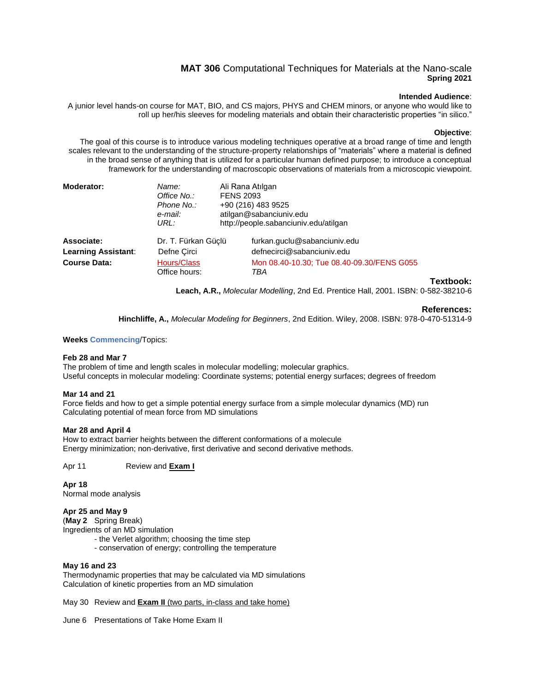# **MAT 306** Computational Techniques for Materials at the Nano-scale **Spring 2021**

### **Intended Audience**:

A junior level hands-on course for MAT, BIO, and CS majors, PHYS and CHEM minors, or anyone who would like to roll up her/his sleeves for modeling materials and obtain their characteristic properties "in silico."

### **Objective**:

The goal of this course is to introduce various modeling techniques operative at a broad range of time and length scales relevant to the understanding of the structure-property relationships of "materials" where a material is defined in the broad sense of anything that is utilized for a particular human defined purpose; to introduce a conceptual framework for the understanding of macroscopic observations of materials from a microscopic viewpoint.

| Moderator:                 | Name:<br>Office No.:<br>Phone No.:<br>e-mail:<br>URL: | Ali Rana Atılgan<br><b>FENS 2093</b><br>+90 (216) 483 9525<br>atilgan@sabanciuniv.edu<br>http://people.sabanciuniv.edu/atilgan |
|----------------------------|-------------------------------------------------------|--------------------------------------------------------------------------------------------------------------------------------|
| Associate:                 | Dr. T. Fürkan Güçlü                                   | furkan.guclu@sabanciuniv.edu                                                                                                   |
| <b>Learning Assistant:</b> | Defne Circi                                           | defnecirci@sabanciuniv.edu                                                                                                     |
| <b>Course Data:</b>        | Hours/Class<br>Office hours:                          | Mon 08.40-10.30; Tue 08.40-09.30/FENS G055<br>TRA                                                                              |

### **Textbook:**

**Leach, A.R.,** *Molecular Modelling*, 2nd Ed. Prentice Hall, 2001. ISBN: 0-582-38210-6

### **References:**

**Hinchliffe, A.,** *Molecular Modeling for Beginners*, 2nd Edition. Wiley, 2008. ISBN: 978-0-470-51314-9

### **Weeks Commencing**/Topics:

### **Feb 28 and Mar 7**

The problem of time and length scales in molecular modelling; molecular graphics. Useful concepts in molecular modeling: Coordinate systems; potential energy surfaces; degrees of freedom

### **Mar 14 and 21**

Force fields and how to get a simple potential energy surface from a simple molecular dynamics (MD) run Calculating potential of mean force from MD simulations

#### **Mar 28 and April 4**

How to extract barrier heights between the different conformations of a molecule Energy minimization; non-derivative, first derivative and second derivative methods.

### Apr 11 Review and **Exam I**

### **Apr 18**

Normal mode analysis

### **Apr 25 and May 9**

(**May 2** Spring Break)

Ingredients of an MD simulation

- the Verlet algorithm; choosing the time step
- conservation of energy; controlling the temperature

### **May 16 and 23**

Thermodynamic properties that may be calculated via MD simulations Calculation of kinetic properties from an MD simulation

May 30 Review and **Exam II** (two parts, in-class and take home)

June 6 Presentations of Take Home Exam II